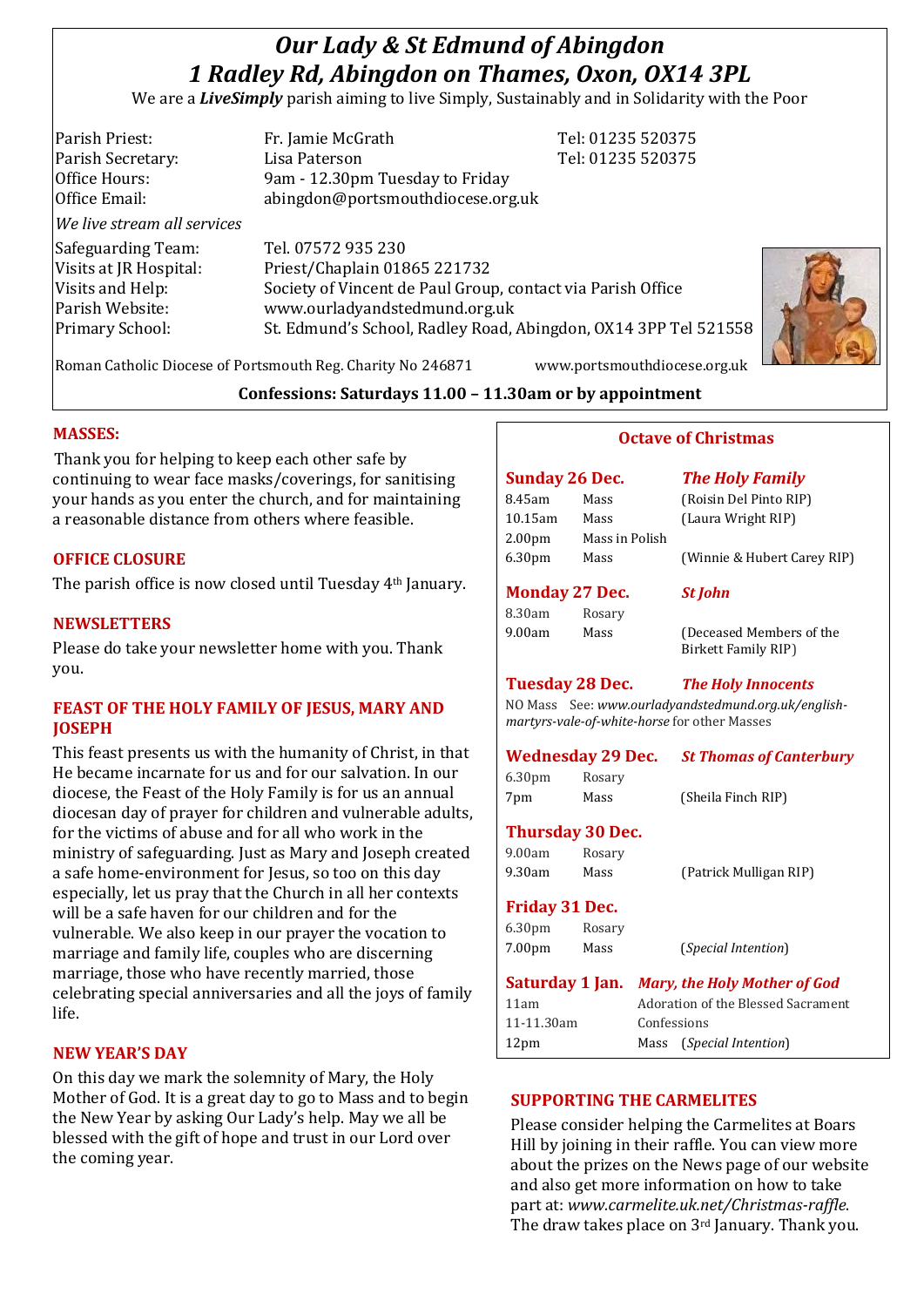# *Our Lady & St Edmund of Abingdon 1 Radley Rd, Abingdon on Thames, Oxon, OX14 3PL*

We are a *LiveSimply* parish aiming to live Simply, Sustainably and in Solidarity with the Poor

| Parish Priest:              | Fr. Jamie McGrath                                               | Tel: 01235 520375 |
|-----------------------------|-----------------------------------------------------------------|-------------------|
| Parish Secretary:           | Lisa Paterson                                                   | Tel: 01235 520375 |
| Office Hours:               | 9am - 12.30pm Tuesday to Friday                                 |                   |
| Office Email:               | abingdon@portsmouthdiocese.org.uk                               |                   |
| We live stream all services |                                                                 |                   |
| Safeguarding Team:          | Tel. 07572 935 230                                              |                   |
| Visits at JR Hospital:      | Priest/Chaplain 01865 221732                                    |                   |
| Visits and Help:            | Society of Vincent de Paul Group, contact via Parish Office     |                   |
| Parish Website:             | www.ourladyandstedmund.org.uk                                   |                   |
| <b>Primary School:</b>      | St. Edmund's School, Radley Road, Abingdon, OX14 3PP Tel 521558 |                   |
|                             |                                                                 |                   |



Roman Catholic Diocese of Portsmouth Reg. Charity No 246871 www.portsmouthdiocese.org.uk

#### **Confessions: Saturdays 11.00 – 11.30am or by appointment**

#### **MASSES:**

Thank you for helping to keep each other safe by continuing to wear face masks/coverings, for sanitising your hands as you enter the church, and for maintaining a reasonable distance from others where feasible.

#### **OFFICE CLOSURE**

The parish office is now closed until Tuesday 4th January.

#### **NEWSLETTERS**

Please do take your newsletter home with you. Thank you.

#### **FEAST OF THE HOLY FAMILY OF JESUS, MARY AND JOSEPH**

This feast presents us with the humanity of Christ, in that He became incarnate for us and for our salvation. In our diocese, the Feast of the Holy Family is for us an annual diocesan day of prayer for children and vulnerable adults, for the victims of abuse and for all who work in the ministry of safeguarding. Just as Mary and Joseph created a safe home-environment for Jesus, so too on this day especially, let us pray that the Church in all her contexts will be a safe haven for our children and for the vulnerable. We also keep in our prayer the vocation to marriage and family life, couples who are discerning marriage, those who have recently married, those celebrating special anniversaries and all the joys of family life.

#### **NEW YEAR'S DAY**

On this day we mark the solemnity of Mary, the Holy Mother of God. It is a great day to go to Mass and to begin the New Year by asking Our Lady's help. May we all be blessed with the gift of hope and trust in our Lord over the coming year.

# **Octave of Christmas**

| <b>Sunday 26 Dec.</b> |                         | <b>The Holy Family</b>                                                                              |  |  |
|-----------------------|-------------------------|-----------------------------------------------------------------------------------------------------|--|--|
| 8.45am                | Mass                    | (Roisin Del Pinto RIP)                                                                              |  |  |
| 10.15am               | Mass                    | (Laura Wright RIP)                                                                                  |  |  |
| 2.00pm                | Mass in Polish          |                                                                                                     |  |  |
| 6.30pm                | Mass                    | (Winnie & Hubert Carey RIP)                                                                         |  |  |
| <b>Monday 27 Dec.</b> |                         | <b>St John</b>                                                                                      |  |  |
| 8.30am                | Rosary                  |                                                                                                     |  |  |
| 9.00am                | Mass                    | (Deceased Members of the<br>Birkett Family RIP)                                                     |  |  |
|                       |                         | <b>Tuesday 28 Dec.</b> The Holy Innocents                                                           |  |  |
|                       |                         | NO Mass See: www.ourladyandstedmund.org.uk/english-<br>martyrs-vale-of-white-horse for other Masses |  |  |
|                       | Wednesday 29 Dec.       | <b>St Thomas of Canterbury</b>                                                                      |  |  |
| 6.30 <sub>pm</sub>    | Rosary                  |                                                                                                     |  |  |
| 7pm                   | Mass                    | (Sheila Finch RIP)                                                                                  |  |  |
|                       | <b>Thursday 30 Dec.</b> |                                                                                                     |  |  |

# 9.00am Rosary 9.30am Mass (Patrick Mulligan RIP)

#### **Friday 31 Dec.**

| 6.30 <sub>pm</sub><br>7.00 <sub>pm</sub> | Rosary<br>Mass | (Special Intention)                          |  |
|------------------------------------------|----------------|----------------------------------------------|--|
|                                          |                | Saturday 1 Jan. Mary, the Holy Mother of God |  |
| 11am                                     |                | Adoration of the Blessed Sacrament           |  |
| 11-11.30am                               |                | Confessions                                  |  |
| 12 <sub>pm</sub>                         |                | ( <i>Special Intention</i> )<br>Mass         |  |

#### **SUPPORTING THE CARMELITES**

Please consider helping the Carmelites at Boars Hill by joining in their raffle. You can view more about the prizes on the News page of our website and also get more information on how to take part at: *www.carmelite.uk.net/Christmas-raffle*. The draw takes place on 3rd January. Thank you.